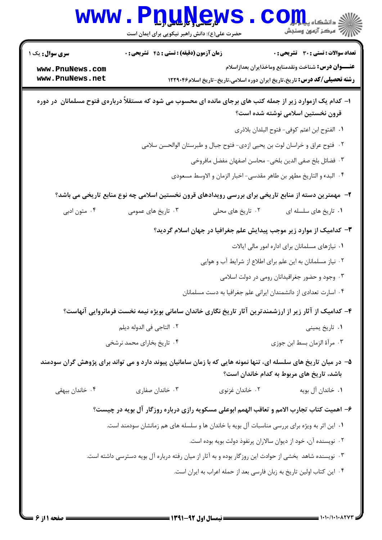|                                                                                                                                                                                            | www.Pnunews<br>حضرت علی(ع): دانش راهبر نیکویی برای ایمان است                                          |                   | ان دانشگاه پیا <mark>مرکز</mark><br>از مرکز آزمون وسنجش                                                                                                                                         |  |  |
|--------------------------------------------------------------------------------------------------------------------------------------------------------------------------------------------|-------------------------------------------------------------------------------------------------------|-------------------|-------------------------------------------------------------------------------------------------------------------------------------------------------------------------------------------------|--|--|
| <b>سری سوال :</b> یک ۱<br>www.PnuNews.com<br>www.PnuNews.net                                                                                                                               | زمان آزمون (دقیقه) : تستی : 45 آتشریحی : 0                                                            |                   | <b>تعداد سوالات : تستی : 30 ٪ تشریحی : 0</b><br><b>عنـــوان درس:</b> شناخت ونقدمنابع وماخذايران بعدازاسلام<br><b>رشته تحصیلی/کد درس:</b> تاریخ،تاریخ ایران دوره اسلامی،تاریخ-تاریخ اسلام۱۲۲۹۰۴۶ |  |  |
| ا– کدام یک ازموارد زیر از جمله کتب های برجای مانده ای محسوب می شود که مستقلاً دربارهی فتوح مسلمانان ًدر دوره<br>قرون نخستین اسلامی نوشته شده است؟                                          |                                                                                                       |                   |                                                                                                                                                                                                 |  |  |
|                                                                                                                                                                                            |                                                                                                       |                   | ٠١. الفتوح ابن اعثم كوفي- فتوح البلدان بلاذري                                                                                                                                                   |  |  |
| ٠٢ فتوح عراق و خراسان لوت بن يحيى ازدى- فتوح جبال و طبرستان الوالحسن سلامى                                                                                                                 |                                                                                                       |                   |                                                                                                                                                                                                 |  |  |
| ۰۳ فضائل بلخ صفى الدين بلخي- محاسن اصفهان مفضل مافروخي                                                                                                                                     |                                                                                                       |                   |                                                                                                                                                                                                 |  |  |
|                                                                                                                                                                                            |                                                                                                       |                   | ۰۴ البدء و التاريخ مطهر بن طاهر مقدسي- اخبار الزمان و الاوسط مسعودي                                                                                                                             |  |  |
|                                                                                                                                                                                            |                                                                                                       |                   | ۲– مهمترین دسته از منابع تاریخی برای بررسی رویدادهای قرون نخستین اسلامی چه نوع منابع تاریخی می باشد؟                                                                                            |  |  |
| ۰۴ متون ادبی                                                                                                                                                                               | ۰۳ تاریخ های عمومی                                                                                    | ۰۲ تاریخ های محلی | ٠١ تاريخ هاى سلسله اى                                                                                                                                                                           |  |  |
|                                                                                                                                                                                            |                                                                                                       |                   | ۳– کدامیک از موارد زیر موجب پیدایش علم جغرافیا در جهان اسلام گردید؟                                                                                                                             |  |  |
|                                                                                                                                                                                            | ۰۱ نیازهای مسلمانان برای اداره امور مالی ایالات                                                       |                   |                                                                                                                                                                                                 |  |  |
|                                                                                                                                                                                            |                                                                                                       |                   | ۰۲ نیاز مسلمانان به این علم برای اطلاع از شرایط آب و هوایی                                                                                                                                      |  |  |
|                                                                                                                                                                                            |                                                                                                       |                   | ۰۳ وجود و حضور جغرافیدانان رومی در دولت اسلامی                                                                                                                                                  |  |  |
|                                                                                                                                                                                            |                                                                                                       |                   | ۰۴ اسارت تعدادی از دانشمندان ایرانی علم جغرافیا به دست مسلمانان                                                                                                                                 |  |  |
|                                                                                                                                                                                            |                                                                                                       |                   | ۴– کدامیک از آثار زیر از ارزشمندترین آثار تاریخ نگاری خاندان سامانی بویژه نیمه نخست فرمانروایی آنهاست؟                                                                                          |  |  |
|                                                                                                                                                                                            | ٢. التاجي في الدوله ديلم                                                                              |                   | ۰۱ تاریخ یمینی                                                                                                                                                                                  |  |  |
|                                                                                                                                                                                            | ۰۴ تاریخ بخارای محمد نرشخی                                                                            |                   | ۰۳ مرأة الزمان بسط ابن جوزي                                                                                                                                                                     |  |  |
| ۵– در میان تاریخ های سلسله ای، تنها نمونه هایی که با زمان سامانیان پیوند دارد و می تواند برای پژوهش گران سودمند<br>باشد، تاریخ های مربوط به کدام خاندان است؟                               |                                                                                                       |                   |                                                                                                                                                                                                 |  |  |
| ۰۴ خاندان بیهقی                                                                                                                                                                            | ۰۳ خاندان صفاری                                                                                       | ۰۲ خاندان غزنوی   | ٠١. خاندان آل بويه                                                                                                                                                                              |  |  |
|                                                                                                                                                                                            |                                                                                                       |                   |                                                                                                                                                                                                 |  |  |
| ۶– اهمیت کتاب تجارب الامم و تعاقب الهمم ابوعلی مسکویه رازی درباره روزگار آل بویه در چیست؟<br>۰۱ این اثر به ویژه برای بررسی مناسبات آل بویه با خاندان ها و سلسله های هم زمانشان سودمند است. |                                                                                                       |                   |                                                                                                                                                                                                 |  |  |
|                                                                                                                                                                                            |                                                                                                       |                   | ۰۲ نویسنده آن، خود از دیوان سالاران پرنفوذ دولت بویه بوده است.                                                                                                                                  |  |  |
|                                                                                                                                                                                            | ۰۳ نویسنده شاهد بخشی از حوادث این روزگار بوده و به آثار از میان رفته درباره آل بویه دسترسی داشته است. |                   |                                                                                                                                                                                                 |  |  |
|                                                                                                                                                                                            |                                                                                                       |                   | ۰۴ این کتاب اولین تاریخ به زبان فارسی بعد از حمله اعراب به ایران است.                                                                                                                           |  |  |
|                                                                                                                                                                                            |                                                                                                       |                   |                                                                                                                                                                                                 |  |  |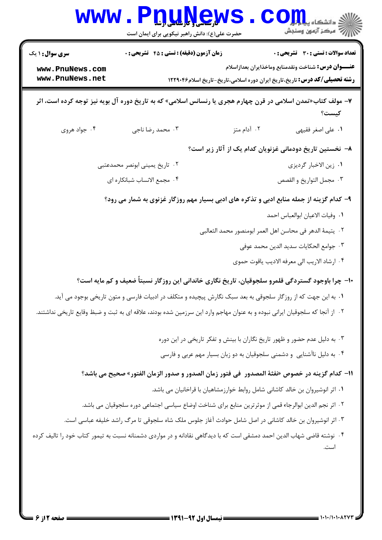|                                                                                                                             | www.Pnunews<br>حضرت علی(ع): دانش راهبر نیکویی برای ایمان است                                            | ر دانشگاه پی <mark>ا ب</mark> ا و <mark>ر</mark><br>ر آمرڪز آزمون وسنڊش                                                                                                                         |  |  |  |
|-----------------------------------------------------------------------------------------------------------------------------|---------------------------------------------------------------------------------------------------------|-------------------------------------------------------------------------------------------------------------------------------------------------------------------------------------------------|--|--|--|
| <b>سری سوال : ۱ یک</b><br>www.PnuNews.com<br>www.PnuNews.net                                                                | زمان آزمون (دقیقه) : تستی : 45 آتشریحی : 0                                                              | <b>تعداد سوالات : تستی : 30 ٪ تشریحی : 0</b><br><b>عنـــوان درس:</b> شناخت ونقدمنابع وماخذايران بعدازاسلام<br><b>رشته تحصیلی/کد درس:</b> تاریخ،تاریخ ایران دوره اسلامی،تاریخ-تاریخ اسلام۱۲۲۹۰۴۶ |  |  |  |
| ۷- مولف کتاب«تمدن اسلامی در قرن چهارم هجری یا رنسانس اسلامی» که به تاریخ دوره آل بویه نیز توجه کرده است، اثر<br>كيست؟       |                                                                                                         |                                                                                                                                                                                                 |  |  |  |
| ۰۴ جواد هروی                                                                                                                | ۰۳ محمد رضا ناجي                                                                                        | ۰۲ آدام متز<br>٠١ على اصغر فقيهي                                                                                                                                                                |  |  |  |
|                                                                                                                             |                                                                                                         | ۸– نخستین تاریخ دودمانی غزنویان کدام یک از آثار زیر است؟                                                                                                                                        |  |  |  |
|                                                                                                                             | ۲. تاریخ یمینی ابونصر محمدعتبی                                                                          | ٠١. زين الاخبار گرديزي                                                                                                                                                                          |  |  |  |
| ۰۴ مجمع الانساب شبانكاره اى<br>٠٣ مجمل التواريخ و القصص                                                                     |                                                                                                         |                                                                                                                                                                                                 |  |  |  |
|                                                                                                                             |                                                                                                         | ۹- کدام گزینه از جمله منابع ادبی و تذکره های ادبی بسیار مهم روزگار غزنوی به شمار می رود؟                                                                                                        |  |  |  |
|                                                                                                                             |                                                                                                         | ٠١. وفيات الاعيان ابوالعباس احمد                                                                                                                                                                |  |  |  |
|                                                                                                                             |                                                                                                         | ٢. يتيمة الدهر في محاسن اهل العمر ابومنصور محمد الثعالبي                                                                                                                                        |  |  |  |
|                                                                                                                             |                                                                                                         | ٠٣ جوامع الحكايات سديد الدين محمد عوفي                                                                                                                                                          |  |  |  |
|                                                                                                                             |                                                                                                         | ۰۴ ارشاد الاريب الى معرفه الاديب ياقوت حموي                                                                                                                                                     |  |  |  |
|                                                                                                                             |                                                                                                         | ۱۰- چرا باوجود گستردگی قلمرو سلجوقیان، تاریخ نگاری خاندانی این روزگار نسبتاً ضعیف و کم مایه است؟                                                                                                |  |  |  |
|                                                                                                                             |                                                                                                         | ۰۱ به این جهت که از روزگار سلجوقی به بعد سبک نگارش پیچیده و متکلف در ادبیات فارسی و متون تاریخی بوجود می آید.                                                                                   |  |  |  |
| ۲. از آنجا که سلجوقیان ایرانی نبوده و به عنوان مهاجم وارد این سرزمین شده بودند، علاقه ای به ثبت و ضبظ وقایع تاریخی نداشتند. |                                                                                                         |                                                                                                                                                                                                 |  |  |  |
|                                                                                                                             |                                                                                                         | ۰۳ به دلیل عدم حضور و ظهور تاریخ نگاران با بینش و تفکر تاریخی در این دوره                                                                                                                       |  |  |  |
|                                                                                                                             |                                                                                                         | ۰۴ به دلیل ناآشنایی و دشمنی سلجوقیان به دو زبان بسیار مهم عربی و فارسی                                                                                                                          |  |  |  |
| 11– كدام گزينه در خصوص «نفثة المصدور  في فتور زمان الصدور و صدور الزمان الفتور» صحيح مي باشد؟                               |                                                                                                         |                                                                                                                                                                                                 |  |  |  |
|                                                                                                                             |                                                                                                         | ٠١ اثر انوشيروان بن خالد كاشاني شامل روابط خوارزمشاهيان با قراخانيان مي باشد.                                                                                                                   |  |  |  |
|                                                                                                                             | ٢ . اثر نجم الدين ابوالرجاء قمي از موثرترين منابع براي شناخت اوضاع سياسي اجتماعي دوره سلجوقيان مي باشد. |                                                                                                                                                                                                 |  |  |  |
|                                                                                                                             | ۰۳ اثر انوشیروان بن خالد کاشانی در اصل شامل حوادث آغاز جلوس ملک شاه سلجوقی تا مرگ راشد خلیفه عباسی است. |                                                                                                                                                                                                 |  |  |  |
|                                                                                                                             |                                                                                                         | ۰۴ نوشته قاضی شهاب الدین احمد دمشقی است که با دیدگاهی نقادانه و در مواردی دشمنانه نسبت به تیمور کتاب خود را تالیف کرده                                                                          |  |  |  |
|                                                                                                                             |                                                                                                         |                                                                                                                                                                                                 |  |  |  |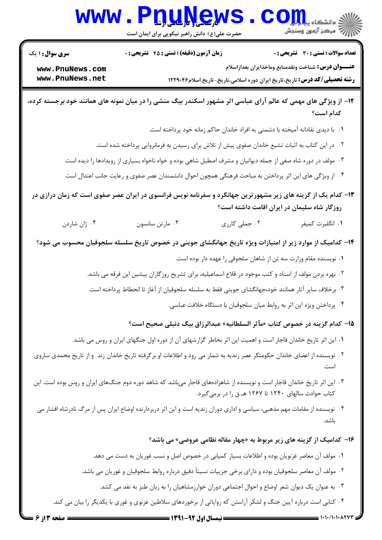## www.PnuN ews. COM

حضرت علی(ع): دانش راهبر نیکویی برای ایمان است

تعداد سوالات : تستي : 30 - تشريحي : 0

**زمان آزمون (دقیقه) : تستی : 45 گشریحی: 0** 

**سری سوال :** ۱ یک

عنـــوان درس: شناخت ونقدمنابع وماخذايران بعدازاسلام

**رشته تحصیلی/کد درس:** تاریخ،تاریخ ایران دوره اسلامی،تاریخ-تاریخ اسلام۱۲۲۹۰۴۶

www.PnuNews.com www.PnuNews.net

۱۲- از ویژگی های مهمی که عالم آرای عباسی اثر مشهور اسکندر بیگ منشی را در میان نمونه های همانند خود برجسته کرده، كدام است؟

٠١. با ديدي نقادانه آميخته با دشمني به افراد خاندان حاكم زمانه خود پرداخته است.

۰۲ در این کتاب به اثبات تشیع خاندان صفوی پیش از تلاش برای رسیدن به فرمانروایی پرداخته شده است.

۰۳ مولف در دوره شاه صفی از جمله دیوانیان و مشرف اصطبل شاهی بوده و خواه ناخواه بسیاری از رویدادها را دیده است.

۰۴ از ویژگی های این اثر پرداختن به مباحث فرهنگی همچون احوال دانشمندان عصر صفوی و رعایت جانب اعتدال است

۱۳- کدام یک از گزینه های زیر مشهورترین جهانگرد و سفرنامه نویس فرانسوی در ایران عصر صفوی است که زمان درازی در روزگار شاه سلیمان در ایران اقامت داشته است؟

۰۲ جملي کارري ۰۴ ژان شاردن ۰۳ مارتن سانسون ١. انگلبرت كميفر

۱۴– کدامیک از موارد زیر از امتیازات ویژه تاریخ جهانگشای جوینی در خصوص تاریخ سلسله سلجوقیان محسوب می شود؟

۰۱ نویسنده مقام وزارت سه تن از شاهان سلجوقی را عهده دار بوده است.

۲ . بهره بردن مولف از اسناد و کتب موجود در قلاع اسماعیلیه، برای تشریح روزگاران پیشین این فرقه می باشد.

۰۳ برخلاف سایر آثار همانند خود،جهانگشای جوینی فقط به سلسله سلجوقیان از آغاز تا انحطاط پرداخته است.

۰۴ پرداختن ویژه این اثر به روابط میان سلجوقیان با دستگاه خلافت عباسی.

1۵- كدام گزينه در خصوص كتاب «مآثر السلطانيه» عبدالرزاق بيگ دنبلي صحيح است؟

- ۱. این اثر تاریخ خاندان قاجار است و اهمیت این اثر بخاطر گزارشهای آن از دوره اول جنگهای ایران و روس می باشد.
- <sup>۲</sup>۰ نویسنده از اعضای خاندان حکومتگر عصر زندیه به شمار می رود و اطلاعات او برگرفته تاریخ خاندان زند و از تاریخ محمدی ساروی
- ۰۳ این اثر تاریخ خاندان قاجار است و نویسنده از شاهزادههای قاجار می باشد که شاهد دوره دوم جنگ@ای ایران و روس بوده است. این کتاب حوادث سالهای ۱۲۴۰ تا ۱۲۶۷ هـ ق را در برمی گیرد.
- ۴ . نویسنده از مقامات مهم مذهبی، سیاسی و اداری دوران زندیه است و این اثر دربردارنده اوضاع ایران پس از مرگ نادرشاه افشار می ىاشد.

۱۶- کدامیک از گزینه های زیر مربوط به «چهار مقاله نظامی عروضی» می باشد؟

٠١ مولف آن معاصر غزنويان بوده و اطلاعات بسيار كميابي در خصوص اصل و نسب غوريان به دست مي دهد.

۲ . مولف آن معاصر سلجوقیان بوده و دارای برخی جزییات نسبتاً دقیق درباره روابط سلجوقیان و غوریان می باشد.

۰۳ به عنوان یک دیوان شعر اوضاع و احوال اجتماعی دوران خوارزمشاهیان را به زبان طنز به نقد می کشد.

۰۴ کتابی است درباره آیین جنگ و لشکر آراستن که روایاتی از برخوردهای سلاطین غزنوی و غوری با یکدیگر را بیان می کند.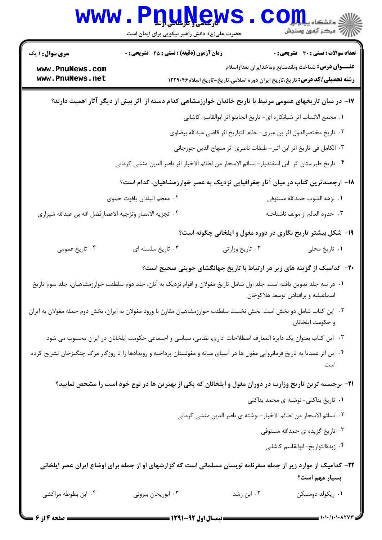| <b>WWW</b>                                                                                                                   | <b>DUAGW</b><br>حضرت علی(ع): دانش راهبر نیکویی برای ایمان است                                                                  |                                                                                   | : دانشگاه پی <mark>اب</mark> لیا                           |  |  |
|------------------------------------------------------------------------------------------------------------------------------|--------------------------------------------------------------------------------------------------------------------------------|-----------------------------------------------------------------------------------|------------------------------------------------------------|--|--|
| <b>سری سوال : ۱ یک</b>                                                                                                       | <b>زمان آزمون (دقیقه) : تستی : 45 تشریحی : 0</b>                                                                               |                                                                                   | <b>تعداد سوالات : تستي : 30 ٪ تشريحي : 0</b>               |  |  |
| www.PnuNews.com<br>www.PnuNews.net                                                                                           |                                                                                                                                | <b>رشته تحصیلی/کد درس:</b> تاریخ،تاریخ ایران دوره اسلامی،تاریخ-تاریخ اسلام۱۲۲۹۰۴۶ | <b>عنـــوان درس:</b> شناخت ونقدمنابع وماخذايران بعدازاسلام |  |  |
|                                                                                                                              | ۱۷– در میان تاریخهای عمومی مرتبط با تاریخ خاندان خوارزمشاهی کدام دسته از آثر بیش از دیگر آثار اهمیت دارند؟                     |                                                                                   |                                                            |  |  |
| ٠١ مجمع الانساب اثر شبانكاره اى- تاريخ الجايتو اثر ابوالقاسم كاشانى                                                          |                                                                                                                                |                                                                                   |                                                            |  |  |
|                                                                                                                              |                                                                                                                                | ٠٢ تاريخ مختصرالدول اثر بن عبرى- نظام التواريخ اثر قاضى عبدالله بيضاوى            |                                                            |  |  |
|                                                                                                                              | ٠٣ الكامل في تاريخ اثر ابن اثير- طبقات ناصري اثر منهاج الدين جوزجاني                                                           |                                                                                   |                                                            |  |  |
|                                                                                                                              | ۰۴ تاریخ طبرستان اثر ابن اسفندیار-نسائم الاسحار من لطائم الاخبار اثر ناصر الدین منشی کرمانی                                    |                                                                                   |                                                            |  |  |
|                                                                                                                              | ۱۸− ارجمندترین کتاب در میان آثار جغرافیایی نزدیک به عصر خوارزمشاهیان، کدام است؟                                                |                                                                                   |                                                            |  |  |
|                                                                                                                              | ٠٢ معجم البلدان ياقوت حموى                                                                                                     |                                                                                   | ٠١ نزهه القلوب حمدالله مستوفى                              |  |  |
| ۰۴ تجزيه الامصار وتزجيه الاعصارفضل الله بن عبدالله شيرازى                                                                    |                                                                                                                                |                                                                                   | ۰۳ حدود العالم از مولف ناشناخته                            |  |  |
|                                                                                                                              |                                                                                                                                | ۱۹- شکل بیشتر تاریخ نگاری در دوره مغول و ایلخانی چگونه است؟                       |                                                            |  |  |
| ۰۴ تاریخ عمومی                                                                                                               | ۰۳ تاریخ سلسله ای                                                                                                              | ۰۲ تاریخ وزارتی                                                                   | ۰۱ تاريخ محلي                                              |  |  |
|                                                                                                                              |                                                                                                                                | ۲۰- کدامیک از گزینه های زیر در ارتباط با تاریخ جهانگشای جوینی صحیح است؟           |                                                            |  |  |
|                                                                                                                              | ۰۱ در سه جلد تدوین یافته است. جلد اول شامل تاریخ مغولان و اقوام نزدیک به آنان، جلد دوم سلطنت خوارزمشاهیان، جلد سوم تاریخ       |                                                                                   | اسماعیلیه و برافتادن توسط هلاکوخان                         |  |  |
|                                                                                                                              | ۰۲ این کتاب شامل دو بخش است: بخش نخست سلطنت خوارزمشاهیان مقارن با ورود مغولان به ایران، بخش دوم حمله مغولان به ایران           |                                                                                   | و حكومت ايلخانان                                           |  |  |
|                                                                                                                              | ۰۳ این کتاب بعنوان یک دایرهٔ المعارف اصطلاحات اداری، نظامی، سیاسی و اجتماعی حکومت ایلخانان در ایران محسوب می شود.              |                                                                                   |                                                            |  |  |
|                                                                                                                              | ۰۴ این اثر عمدتا به تاریخ فرمانروایی مغول ها در آسیای میانه و مغولستان پرداخته و رویدادها را تا روزگار مرگ چنگیزخان تشریح کرده |                                                                                   |                                                            |  |  |
|                                                                                                                              | <b>۲۱</b> - برجسته ترین تاریخ وزارت در دوران مغول و ایلخانان که یکی از بهترین ها در نوع خود است را مشخص نمایید؟                |                                                                                   |                                                            |  |  |
|                                                                                                                              |                                                                                                                                |                                                                                   | ۰۱ تاریخ بناکتی- نوشته ی محمد بناکتی                       |  |  |
|                                                                                                                              |                                                                                                                                | ٠٢ نسائم الاسحار من لطائم الاخبار - نوشته ي ناصر الدين منشي كرماني                |                                                            |  |  |
|                                                                                                                              |                                                                                                                                |                                                                                   | ۰۳ تاریخ گزیده ی حمدالله مستوفی                            |  |  |
|                                                                                                                              |                                                                                                                                |                                                                                   | ۰۴ زبدةالتواريخ-ابوالقاسم كاشاني                           |  |  |
| <mark>۲۲</mark> - کدامیک از موارد زیر از جمله سفرنامه نویسان مسلمانی است که گزارشهای او از جمله برای اوضاع ایران عصر ایلخانی |                                                                                                                                |                                                                                   |                                                            |  |  |
|                                                                                                                              |                                                                                                                                |                                                                                   | بسیار مهم است؟                                             |  |  |
| ۰۴ ابن بطوطه مراکشی                                                                                                          | ۰۳ ابوریحان بیرونی                                                                                                             | ۰۲ ابن رشد                                                                        | ٠١. ريكولد دومنيكن                                         |  |  |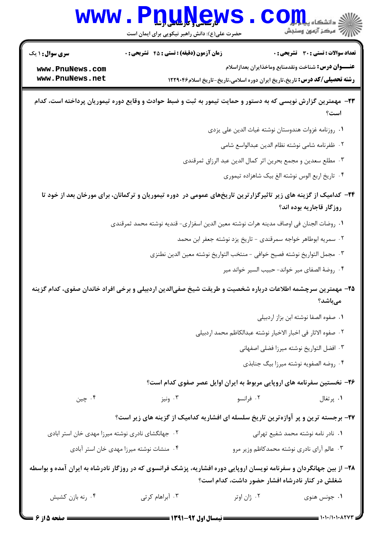|                                                   | www.Pnuyey<br>حضرت علی(ع): دانش راهبر نیکویی برای ایمان است                                                          |             | (د دانشڪاه پيا ہ <mark>ور</mark><br>(⊽ مرکز آزمون وسنجش                           |  |  |
|---------------------------------------------------|----------------------------------------------------------------------------------------------------------------------|-------------|-----------------------------------------------------------------------------------|--|--|
| <b>سری سوال :</b> ۱ یک                            | <b>زمان آزمون (دقیقه) : تستی : 45 قشریحی : 0</b>                                                                     |             | <b>تعداد سوالات : تستی : 30 ٪ تشریحی : 0</b>                                      |  |  |
| www.PnuNews.com                                   |                                                                                                                      |             | <b>عنـــوان درس:</b> شناخت ونقدمنابع وماخذايران بعدازاسلام                        |  |  |
| www.PnuNews.net                                   |                                                                                                                      |             | <b>رشته تحصیلی/کد درس:</b> تاریخ،تاریخ ایران دوره اسلامی،تاریخ-تاریخ اسلام۱۲۲۹۰۴۶ |  |  |
|                                                   | ۲۳- مهمترین گزارش نویسی که به دستور و حمایت تیمور به ثبت و ضبط حوادث و وقایع دوره تیموریان پرداخته است، کدام         |             | است؟                                                                              |  |  |
|                                                   |                                                                                                                      |             | ٠١. روزنامه غزوات هندوستان نوشته غياث الدين على يزدى                              |  |  |
|                                                   |                                                                                                                      |             | ٢. ظفرنامه شامي نوشته نظام الدين عبدالواسع شامي                                   |  |  |
|                                                   |                                                                                                                      |             | ۰۳ مطلع سعدين و مجمع بحرين اثر كمال الدين عبد الرزاق ثمرقندي                      |  |  |
|                                                   |                                                                                                                      |             | ۰۴ تاریخ اربع الوس نوشته الغ بیک شاهزاده تیموری                                   |  |  |
|                                                   | ۲۴– کدامیک از گزینه های زیر تاثیرگزارترین تاریخهای عمومی در دوره تیموریان و ترکمانان، برای مورخان بعد از خود تا      |             | روزگار قاجاریه بوده اند؟                                                          |  |  |
|                                                   | ٠١ روضات الجنان في اوصاف مدينه هرات نوشته معين الدين اسفزاري- قنديه نوشته محمد ثمرقندي                               |             |                                                                                   |  |  |
|                                                   | ۰۲ سمریه ابوطاهر خواجه سمرقندی - تاریخ یزد نوشته جعفر ابن محمد                                                       |             |                                                                                   |  |  |
|                                                   |                                                                                                                      |             | ٠٣ مجمل التواريخ نوشته فصيح خوافي – منتخب التواريخ نوشته معين الدين نطنزى         |  |  |
|                                                   |                                                                                                                      |             | ۰۴ روضهٔ الصفای میر خواند- حبیب السیر خواند میر                                   |  |  |
|                                                   | ۲۵– مهمترین سرچشمه اطلاعات درباره شخصیت و طریقت شیخ صفیالدین اردبیلی و برخی افراد خاندان صفوی، کدام گزینه            |             |                                                                                   |  |  |
|                                                   |                                                                                                                      |             | مىباشد؟                                                                           |  |  |
|                                                   |                                                                                                                      |             | ٠١ صفوه الصفا نوشته ابن بزاز اردبيلي                                              |  |  |
|                                                   |                                                                                                                      |             | ٢. صفوه الاثار في اخبار الاخيار نوشته عبدالكاظم محمد اردبيلي                      |  |  |
|                                                   |                                                                                                                      |             | ٠٣ افضل التواريخ نوشته ميرزا فضلي اصفهاني                                         |  |  |
|                                                   |                                                                                                                      |             | ۰۴ روضه الصفويه نوشته ميرزا بيگ جنابذي                                            |  |  |
|                                                   |                                                                                                                      |             | ۲۶- نخستین سفرنامه های اروپایی مربوط به ایران اوایل عصر صفوی کدام است؟            |  |  |
| ۰۴ چين                                            | ۰۳ ونیز                                                                                                              | ۰۲ فرانسو   | ۰۱ پرتغال                                                                         |  |  |
|                                                   | ۲۷- برجسته ترین و پر آوازهترین تاریخ سلسله ای افشاریه کدامیک از گزینه های زیر است؟                                   |             |                                                                                   |  |  |
| ۰۲ جهانگشای نادری نوشته میرزا مهدی خان استر ابادی |                                                                                                                      |             | ۰۱ نادر نامه نوشته محمد شفیع تهرانی                                               |  |  |
|                                                   | ۰۴ منشات نوشته میرزا مهدی خان استر آبادی                                                                             |             | ۰۳ عالم آرای نادری نوشته محمدکاظم وزیر مرو                                        |  |  |
|                                                   | ۲۸– از بین جهانگردان و سفرنامه نویسان اروپایی دوره افشاریه، پزشک فرانسوی که در روزگار نادرشاه به ایران آمده و بواسطه |             | شغلش در کنار نادرشاه افشار حضور داشت، کدام است؟                                   |  |  |
| ۰۴ رنه بازن کشیش                                  | ۰۳ آبراهام کرتی                                                                                                      | ٠٢ ژان اوتر | ۰۱ جونس هنوی                                                                      |  |  |